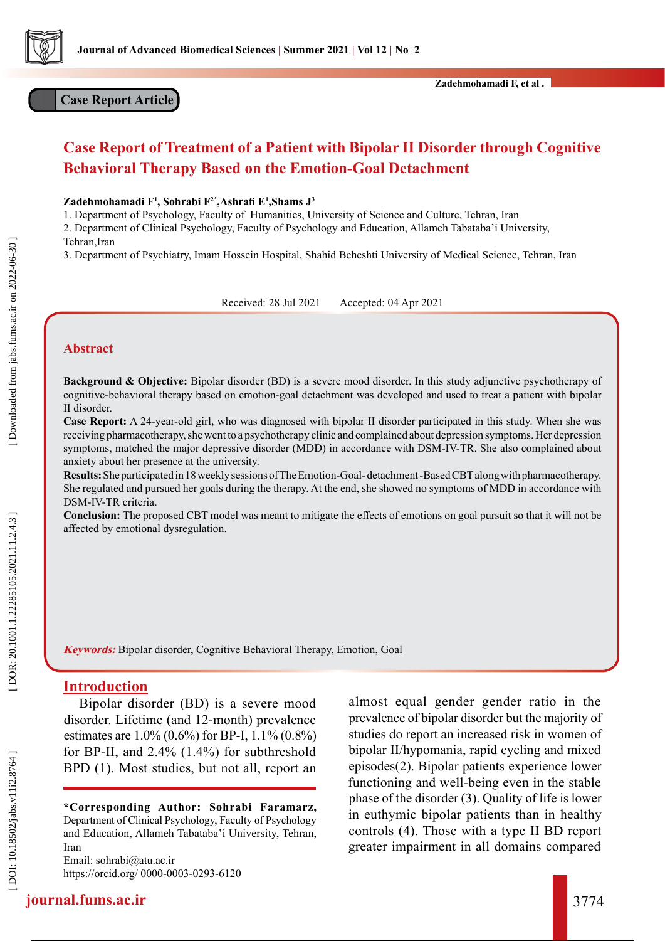

# **Case Report Article**

# **Case Report of Treatment of a Patient with Bipolar II Disorder through Cognitive Behavioral Therapy Based on the Emotion-Goal Detachment**

**Zadehmohamadi F 1 , Sohrabi F2\*,Ashrafi E 1 ,Shams J 3**

1. Department of Psychology, Faculty of Humanities, University of Science and Culture, Tehran, Iran

2. Department of Clinical Psychology, Faculty of Psychology and Education, Allameh Tabataba'i University, Tehran, Iran

3. Department of Psychiatry, Imam Hossein Hospital, Shahid Beheshti University of Medical Science, Tehran, Iran

Received: 28 Jul 2021 Accepted: 04 Apr 2021

### **Abstract**

**Background & Objective:** Bipolar disorder (BD) is a severe mood disorder. In this study adjunctive psychotherapy of cognitive-behavioral therapy based on emotion-goal detachment was developed and used to treat a patient with bipolar II disorder.

**Case Report:** A 24-year-old girl, who was diagnosed with bipolar II disorder participated in this study. When she was receiving pharmacotherapy, she went to a psychotherapy clinic and complained about depression symptoms. Her depression symptoms, matched the major depressive disorder (MDD) in accordance with DSM-IV-TR. She also complained about anxiety about her presence at the university.

**Results:** She participated in 18 weekly sessions of The Emotion-Goal- detachment -Based CBT along with pharmacotherapy. She regulated and pursued her goals during the therapy. At the end, she showed no symptoms of MDD in accordance with DSM-IV-TR criteria.

**Conclusion:** The proposed CBT model was meant to mitigate the effects of emotions on goal pursuit so that it will not be affected by emotional dysregulation.

**Keywords:** Bipolar disorder, Cognitive Behavioral Therapy, Emotion, Goal

### **Introduction**

Bipolar disorder (BD) is a severe mood disorder. Lifetime (and 12-month) prevalence estimates are 1.0% (0.6%) for BP-I, 1.1% (0.8%) for BP-II, and 2.4% (1.4%) for subthreshold BPD (1). Most studies, but not all, report an

**\*Corresponding Author: Sohrabi Faramarz,** Department of Clinical Psychology, Faculty of Psychology and Education, Allameh Tabataba'i University, Tehran, Iran

[Email: sohrabi@atu.ac.ir](mailto:%20sohrabi%40atu.ac.ir?subject=) <https://orcid.org/ 0000-0003-0293-6120> almost equal gender gender ratio in the prevalence of bipolar disorder but the majority of studies do report an increased risk in women of bipolar II/hypomania, rapid cycling and mixed episodes(2). Bipolar patients experience lower functioning and well-being even in the stable phase of the disorder (3). Quality of life is lower in euthymic bipolar patients than in healthy controls (4). Those with a type II BD report greater impairment in all domains compared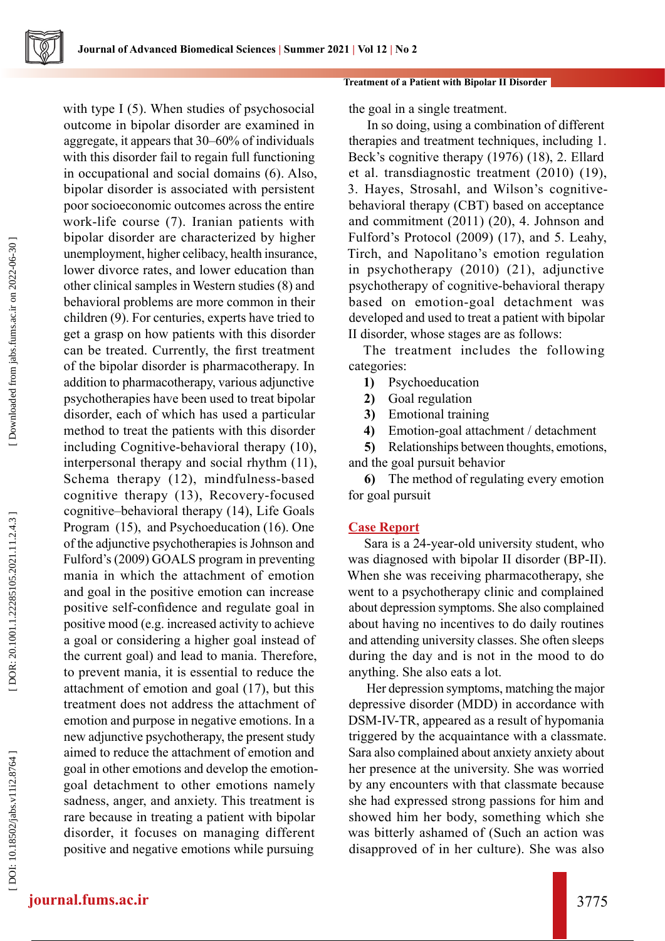with type I (5). When studies of psychosocial

outcome in bipolar disorder are examined in aggregate, it appears that 30–60% of individuals with this disorder fail to regain full functioning in occupational and social domains (6). Also, bipolar disorder is associated with persistent poor socioeconomic outcomes across the entire work-life course (7). Iranian patients with bipolar disorder are characterized by higher unemployment, higher celibacy, health insurance, lower divorce rates, and lower education than other clinical samples in Western studies (8) and behavioral problems are more common in their children (9). For centuries, experts have tried to get a grasp on how patients with this disorder can be treated. Currently, the first treatment of the bipolar disorder is pharmacotherapy. In addition to pharmacotherapy, various adjunctive psychotherapies have been used to treat bipolar disorder, each of which has used a particular method to treat the patients with this disorder including Cognitive-behavioral therapy (10), interpersonal therapy and social rhythm (11), Schema therapy (12), mindfulness-based cognitive therapy (13), Recovery-focused cognitive–behavioral therapy (14), Life Goals Program (15), and Psychoeducation (16). One of the adjunctive psychotherapies is Johnson and Fulford's (2009) GOALS program in preventing mania in which the attachment of emotion and goal in the positive emotion can increase positive self-confidence and regulate goal in positive mood (e.g. increased activity to achieve a goal or considering a higher goal instead of the current goal) and lead to mania. Therefore, to prevent mania, it is essential to reduce the attachment of emotion and goal (17), but this treatment does not address the attachment of emotion and purpose in negative emotions. In a new adjunctive psychotherapy, the present study aimed to reduce the attachment of emotion and goal in other emotions and develop the emotiongoal detachment to other emotions namely sadness, anger, and anxiety. This treatment is rare because in treating a patient with bipolar disorder, it focuses on managing different positive and negative emotions while pursuing

#### **Treatment of a Patient with Bipolar II Disorder**

the goal in a single treatment.

 In so doing, using a combination of different therapies and treatment techniques, including 1. Beck's cognitive therapy (1976) (18), 2. Ellard et al. transdiagnostic treatment (2010) (19), 3. Hayes, Strosahl, and Wilson's cognitivebehavioral therapy (CBT) based on acceptance and commitment (2011) (20), 4. Johnson and Fulford's Protocol (2009) (17), and 5. Leahy, Tirch, and Napolitano's emotion regulation in psychotherapy (2010) (21), adjunctive psychotherapy of cognitive-behavioral therapy based on emotion-goal detachment was developed and used to treat a patient with bipolar II disorder, whose stages are as follows:

The treatment includes the following categories:

- **1)** Psychoeducation
- **2)** Goal regulation
- **3)** Emotional training
- **4)** Emotion-goal attachment / detachment

**5)** Relationships between thoughts, emotions, and the goal pursuit behavior

**6)** The method of regulating every emotion for goal pursuit

### **Case Report**

Sara is a 24-year-old university student, who was diagnosed with bipolar II disorder (BP-II). When she was receiving pharmacotherapy, she went to a psychotherapy clinic and complained about depression symptoms. She also complained about having no incentives to do daily routines and attending university classes. She often sleeps during the day and is not in the mood to do anything. She also eats a lot.

 Her depression symptoms, matching the major depressive disorder (MDD) in accordance with DSM-IV-TR, appeared as a result of hypomania triggered by the acquaintance with a classmate. Sara also complained about anxiety anxiety about her presence at the university. She was worried by any encounters with that classmate because she had expressed strong passions for him and showed him her body, something which she was bitterly ashamed of (Such an action was disapproved of in her culture). She was also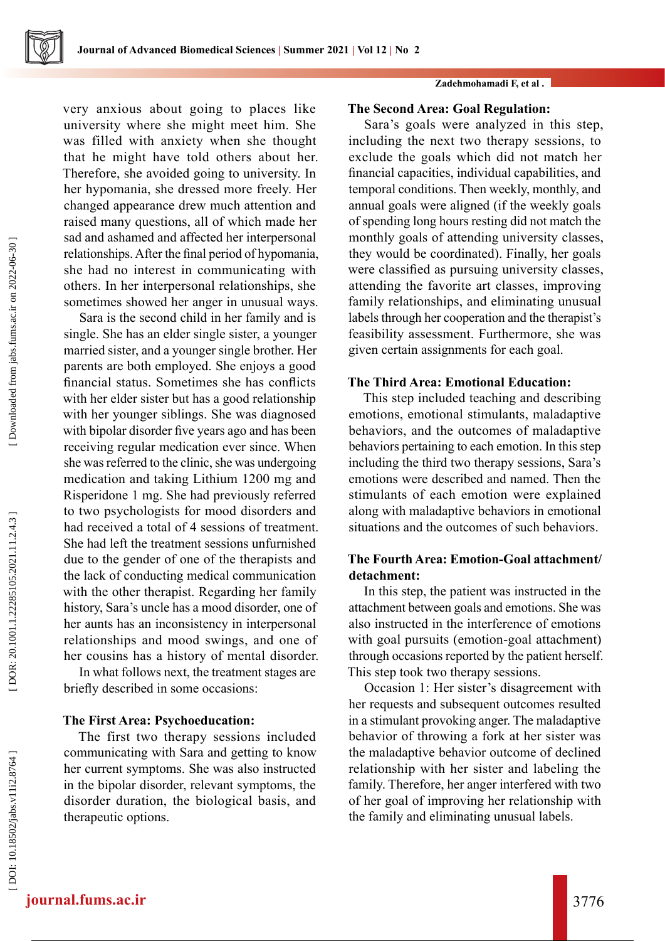very anxious about going to places like university where she might meet him. She was filled with anxiety when she thought that he might have told others about her. Therefore, she avoided going to university. In her hypomania, she dressed more freely. Her changed appearance drew much attention and raised many questions, all of which made her sad and ashamed and affected her interpersonal relationships. After the final period of hypomania, she had no interest in communicating with others. In her interpersonal relationships, she sometimes showed her anger in unusual ways.

Sara is the second child in her family and is single. She has an elder single sister, a younger married sister, and a younger single brother. Her parents are both employed. She enjoys a good financial status. Sometimes she has conflicts with her elder sister but has a good relationship with her younger siblings. She was diagnosed with bipolar disorder five years ago and has been receiving regular medication ever since. When she was referred to the clinic, she was undergoing medication and taking Lithium 1200 mg and Risperidone 1 mg. She had previously referred to two psychologists for mood disorders and had received a total of 4 sessions of treatment. She had left the treatment sessions unfurnished due to the gender of one of the therapists and the lack of conducting medical communication with the other therapist. Regarding her family history, Sara's uncle has a mood disorder, one of her aunts has an inconsistency in interpersonal relationships and mood swings, and one of her cousins has a history of mental disorder.

In what follows next, the treatment stages are briefly described in some occasions:

### **The First Area: Psychoeducation:**

The first two therapy sessions included communicating with Sara and getting to know her current symptoms. She was also instructed in the bipolar disorder, relevant symptoms, the disorder duration, the biological basis, and therapeutic options.

#### **Zadehmohamadi F, et al .**

### **The Second Area: Goal Regulation:**

Sara's goals were analyzed in this step, including the next two therapy sessions, to exclude the goals which did not match her financial capacities, individual capabilities, and temporal conditions. Then weekly, monthly, and annual goals were aligned (if the weekly goals of spending long hours resting did not match the monthly goals of attending university classes, they would be coordinated). Finally, her goals were classified as pursuing university classes, attending the favorite art classes, improving family relationships, and eliminating unusual labels through her cooperation and the therapist's feasibility assessment. Furthermore, she was given certain assignments for each goal.

#### **The Third Area: Emotional Education:**

This step included teaching and describing emotions, emotional stimulants, maladaptive behaviors, and the outcomes of maladaptive behaviors pertaining to each emotion. In this step including the third two therapy sessions, Sara's emotions were described and named. Then the stimulants of each emotion were explained along with maladaptive behaviors in emotional situations and the outcomes of such behaviors.

# **The Fourth Area: Emotion-Goal attachment/ detachment:**

In this step, the patient was instructed in the attachment between goals and emotions. She was also instructed in the interference of emotions with goal pursuits (emotion-goal attachment) through occasions reported by the patient herself. This step took two therapy sessions.

Occasion 1: Her sister's disagreement with her requests and subsequent outcomes resulted in a stimulant provoking anger. The maladaptive behavior of throwing a fork at her sister was the maladaptive behavior outcome of declined relationship with her sister and labeling the family. Therefore, her anger interfered with two of her goal of improving her relationship with the family and eliminating unusual labels.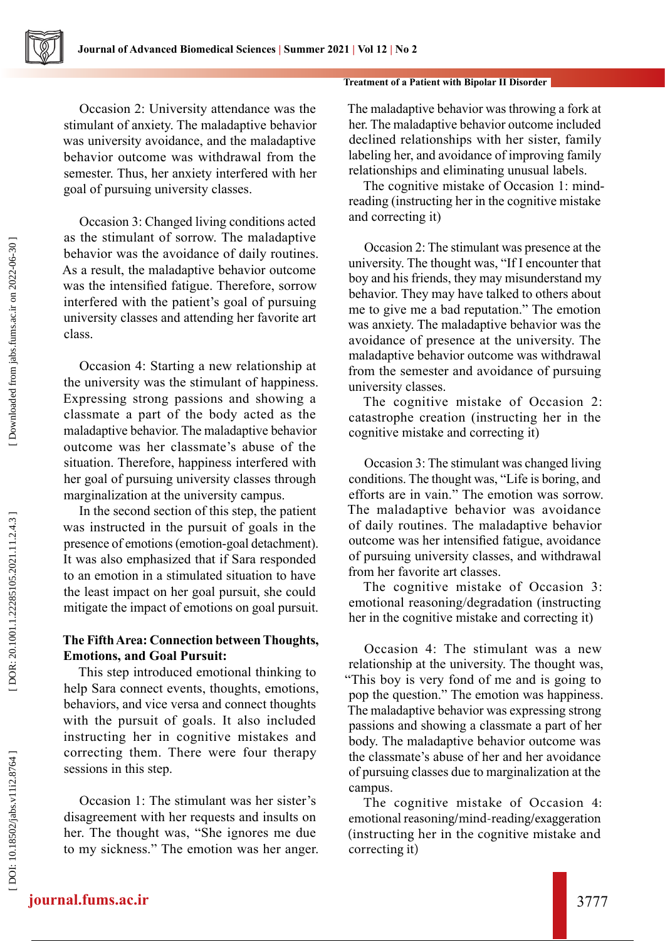Occasion 2: University attendance was the stimulant of anxiety. The maladaptive behavior was university avoidance, and the maladaptive behavior outcome was withdrawal from the semester. Thus, her anxiety interfered with her goal of pursuing university classes.

Occasion 3: Changed living conditions acted as the stimulant of sorrow. The maladaptive behavior was the avoidance of daily routines. As a result, the maladaptive behavior outcome was the intensified fatigue. Therefore, sorrow interfered with the patient's goal of pursuing university classes and attending her favorite art class.

Occasion 4: Starting a new relationship at the university was the stimulant of happiness. Expressing strong passions and showing a classmate a part of the body acted as the maladaptive behavior. The maladaptive behavior outcome was her classmate's abuse of the situation. Therefore, happiness interfered with her goal of pursuing university classes through marginalization at the university campus.

In the second section of this step, the patient was instructed in the pursuit of goals in the presence of emotions (emotion-goal detachment). It was also emphasized that if Sara responded to an emotion in a stimulated situation to have the least impact on her goal pursuit, she could mitigate the impact of emotions on goal pursuit.

# **The Fifth Area: Connection between Thoughts, Emotions, and Goal Pursuit:**

This step introduced emotional thinking to help Sara connect events, thoughts, emotions, behaviors, and vice versa and connect thoughts with the pursuit of goals. It also included instructing her in cognitive mistakes and correcting them. There were four therapy sessions in this step.

Occasion 1: The stimulant was her sister's disagreement with her requests and insults on her. The thought was, "She ignores me due to my sickness." The emotion was her anger.

#### **Treatment of a Patient with Bipolar II Disorder**

The maladaptive behavior was throwing a fork at her. The maladaptive behavior outcome included declined relationships with her sister, family labeling her, and avoidance of improving family relationships and eliminating unusual labels.

The cognitive mistake of Occasion 1: mindreading (instructing her in the cognitive mistake and correcting it)

Occasion 2: The stimulant was presence at the university. The thought was, "If I encounter that boy and his friends, they may misunderstand my behavior. They may have talked to others about me to give me a bad reputation." The emotion was anxiety. The maladaptive behavior was the avoidance of presence at the university. The maladaptive behavior outcome was withdrawal from the semester and avoidance of pursuing university classes.

The cognitive mistake of Occasion 2: catastrophe creation (instructing her in the cognitive mistake and correcting it)

Occasion 3: The stimulant was changed living conditions. The thought was, "Life is boring, and efforts are in vain." The emotion was sorrow. The maladaptive behavior was avoidance of daily routines. The maladaptive behavior outcome was her intensified fatigue, avoidance of pursuing university classes, and withdrawal from her favorite art classes.

The cognitive mistake of Occasion 3: emotional reasoning/degradation (instructing her in the cognitive mistake and correcting it)

Occasion 4: The stimulant was a new relationship at the university. The thought was, "This boy is very fond of me and is going to pop the question." The emotion was happiness. The maladaptive behavior was expressing strong passions and showing a classmate a part of her body. The maladaptive behavior outcome was the classmate's abuse of her and her avoidance of pursuing classes due to marginalization at the campus.

The cognitive mistake of Occasion 4: emotional reasoning/mind-reading/exaggeration (instructing her in the cognitive mistake and correcting it)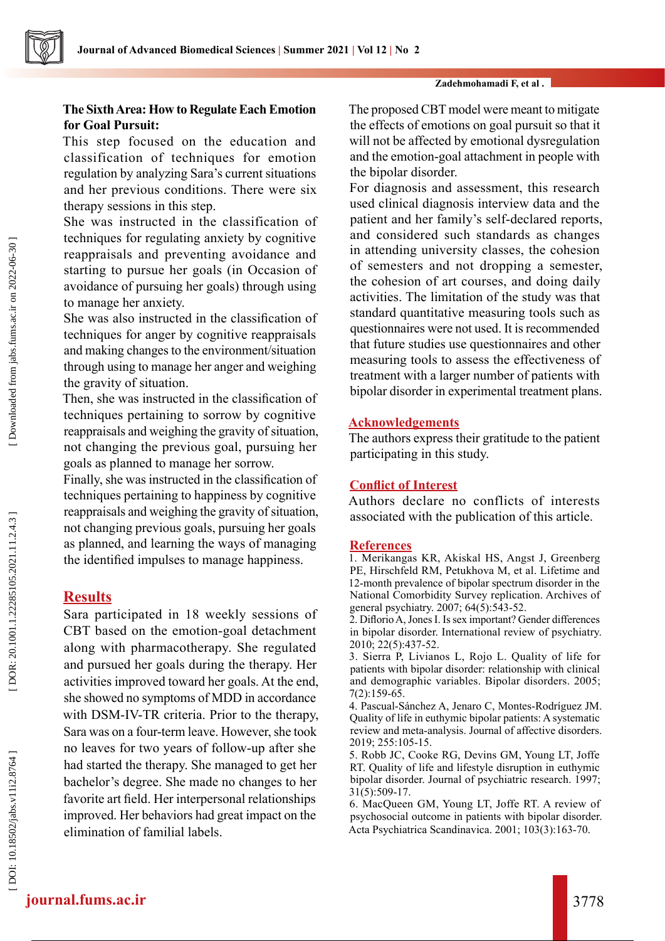#### **Zadehmohamadi F, et al .**

# **The Sixth Area: How to Regulate Each Emotion for Goal Pursuit:**

This step focused on the education and classification of techniques for emotion regulation by analyzing Sara's current situations and her previous conditions. There were six therapy sessions in this step.

She was instructed in the classification of techniques for regulating anxiety by cognitive reappraisals and preventing avoidance and starting to pursue her goals (in Occasion of avoidance of pursuing her goals) through using to manage her anxiety.

She was also instructed in the classification of techniques for anger by cognitive reappraisals and making changes to the environment/situation through using to manage her anger and weighing the gravity of situation.

Then, she was instructed in the classification of techniques pertaining to sorrow by cognitive reappraisals and weighing the gravity of situation, not changing the previous goal, pursuing her goals as planned to manage her sorrow.

Finally, she was instructed in the classification of techniques pertaining to happiness by cognitive reappraisals and weighing the gravity of situation, not changing previous goals, pursuing her goals as planned, and learning the ways of managing the identified impulses to manage happiness.

# **Results**

Sara participated in 18 weekly sessions of CBT based on the emotion-goal detachment along with pharmacotherapy. She regulated and pursued her goals during the therapy. Her activities improved toward her goals. At the end, she showed no symptoms of MDD in accordance with DSM-IV-TR criteria. Prior to the therapy, Sara was on a four-term leave. However, she took no leaves for two years of follow-up after she had started the therapy. She managed to get her bachelor's degree. She made no changes to her favorite art field. Her interpersonal relationships improved. Her behaviors had great impact on the elimination of familial labels.

The proposed CBT model were meant to mitigate the effects of emotions on goal pursuit so that it will not be affected by emotional dysregulation and the emotion-goal attachment in people with the bipolar disorder.

For diagnosis and assessment, this research used clinical diagnosis interview data and the patient and her family's self-declared reports, and considered such standards as changes in attending university classes, the cohesion of semesters and not dropping a semester, the cohesion of art courses, and doing daily activities. The limitation of the study was that standard quantitative measuring tools such as questionnaires were not used. It is recommended that future studies use questionnaires and other measuring tools to assess the effectiveness of treatment with a larger number of patients with bipolar disorder in experimental treatment plans.

# **Acknowledgements**

The authors express their gratitude to the patient participating in this study.

# **Conflict of Interest**

Authors declare no conflicts of interests associated with the publication of this article.

### **References**

1. Merikangas KR, Akiskal HS, Angst J, Greenberg PE, Hirschfeld RM, Petukhova M, et al. Lifetime and 12-month prevalence of bipolar spectrum disorder in the National Comorbidity Survey replication. Archives of general psychiatry. 2007; 64(5):543-52.

2. Diflorio A, Jones I. Is sex important? Gender differences in bipolar disorder. International review of psychiatry. 2010; 22(5):437-52.

3. Sierra P, Livianos L, Rojo L. Quality of life for patients with bipolar disorder: relationship with clinical and demographic variables. Bipolar disorders. 2005; 7(2):159-65.

4. Pascual-Sánchez A, Jenaro C, Montes-Rodríguez JM. Quality of life in euthymic bipolar patients: A systematic review and meta-analysis. Journal of affective disorders. 2019; 255:105-15.

5. Robb JC, Cooke RG, Devins GM, Young LT, Joffe RT. Quality of life and lifestyle disruption in euthymic bipolar disorder. Journal of psychiatric research. 1997; 31(5):509-17.

6. MacQueen GM, Young LT, Joffe RT. A review of psychosocial outcome in patients with bipolar disorder. Acta Psychiatrica Scandinavica. 2001; 103(3):163-70.